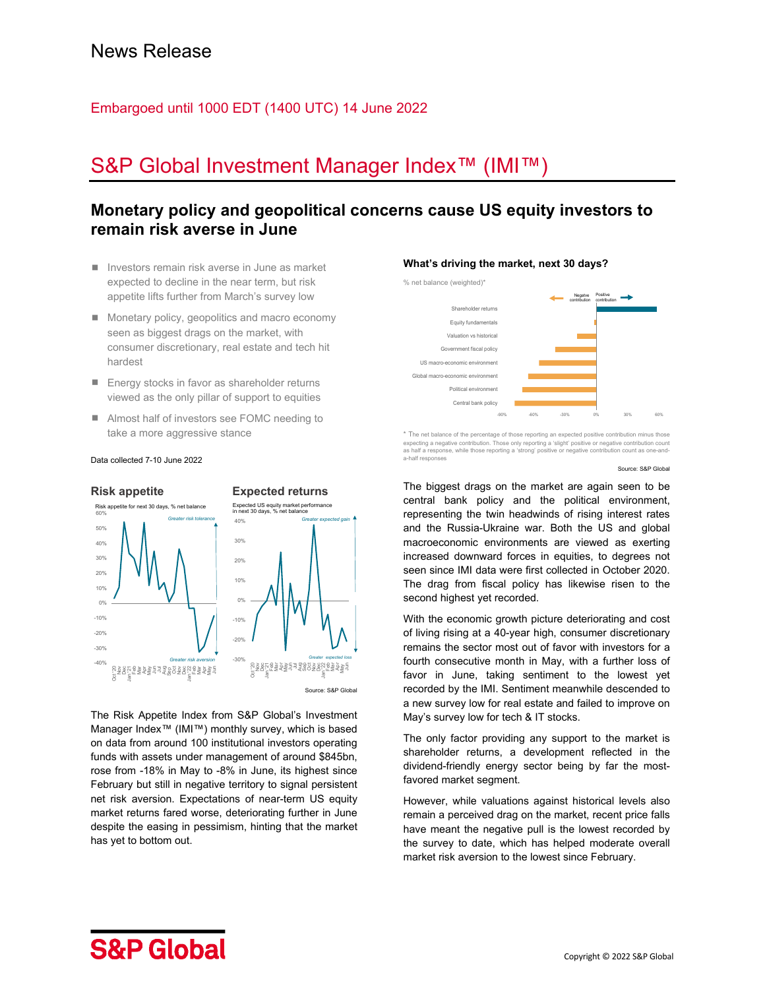## Embargoed until 1000 EDT (1400 UTC) 14 June 2022

# S&P Global Investment Manager Index<sup>™</sup> (IMI™)

## **Monetary policy and geopolitical concerns cause US equity investors to remain risk averse in June**

- Investors remain risk averse in June as market expected to decline in the near term, but risk appetite lifts further from March's survey low
- **Monetary policy, geopolitics and macro economy** seen as biggest drags on the market, with consumer discretionary, real estate and tech hit hardest
- Energy stocks in favor as shareholder returns viewed as the only pillar of support to equities
- Almost half of investors see FOMC needing to take a more aggressive stance

Data collected 7-10 June 2022

#### **Risk appetite Expected returns**  -40% -30% -20% -10% 0% 10% 20% 30% 40% 50% 60% octor i a<br>September 1980<br>September 1980 Risk appetite for next 30 days, % net balance *Greater risk tolerance Greater risk aversion* -30% -20% -10% 0% 10% 20% 30% 40% Octor September expected loss<br>May September - 2005<br>September - 2005<br>September expected loss<br>September expected loss Expected US equity market performance in next 30 days, % net balance *Greater expected gain*

Source: S&P Globa

The Risk Appetite Index from S&P Global's Investment Manager Index™ (IMI™) monthly survey, which is based on data from around 100 institutional investors operating funds with assets under management of around \$845bn, rose from -18% in May to -8% in June, its highest since February but still in negative territory to signal persistent net risk aversion. Expectations of near-term US equity market returns fared worse, deteriorating further in June despite the easing in pessimism, hinting that the market has yet to bottom out.

## **What's driving the market, next 30 days?**



\* The net balance of the percentage of those reporting an expected positive contribution minus those expecting a negative contribution. Those only reporting a 'slight' positive or negative contribution count as half a response, while those reporting a 'strong' positive or negative contribution count as one-anda-half responses

Source: S&P Global

The biggest drags on the market are again seen to be central bank policy and the political environment, representing the twin headwinds of rising interest rates and the Russia-Ukraine war. Both the US and global macroeconomic environments are viewed as exerting increased downward forces in equities, to degrees not seen since IMI data were first collected in October 2020. The drag from fiscal policy has likewise risen to the second highest yet recorded.

With the economic growth picture deteriorating and cost of living rising at a 40-year high, consumer discretionary remains the sector most out of favor with investors for a fourth consecutive month in May, with a further loss of favor in June, taking sentiment to the lowest yet recorded by the IMI. Sentiment meanwhile descended to a new survey low for real estate and failed to improve on May's survey low for tech & IT stocks.

The only factor providing any support to the market is shareholder returns, a development reflected in the dividend-friendly energy sector being by far the mostfavored market segment.

However, while valuations against historical levels also remain a perceived drag on the market, recent price falls have meant the negative pull is the lowest recorded by the survey to date, which has helped moderate overall market risk aversion to the lowest since February.

# **S&P Global**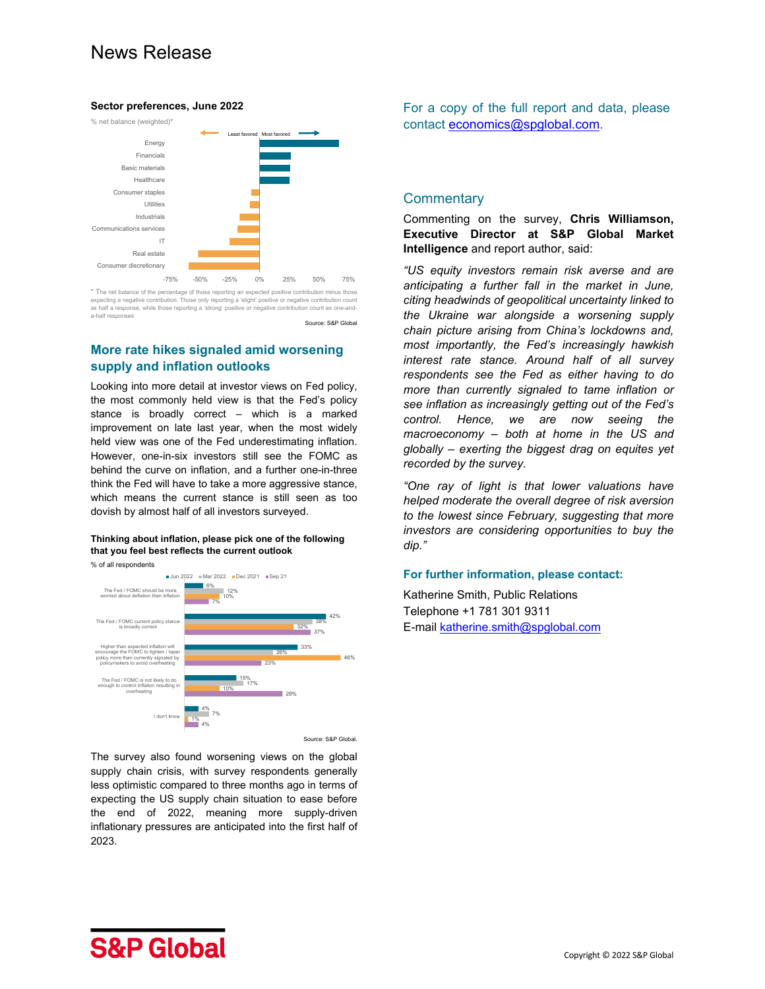# News Release

#### **Sector preferences, June 2022**



\* The net balance of the percentage of those reporting an expected positive contribution minus those ting a negative contribution. Those only reporting a 'slight' positive or negative contribution countil as half a response, while those reporting a 'strong' positive or negative contribution count as one-and-'<br>a\_half responses Source: S&P Global

## **More rate hikes signaled amid worsening supply and inflation outlooks**

Looking into more detail at investor views on Fed policy, the most commonly held view is that the Fed's policy stance is broadly correct – which is a marked improvement on late last year, when the most widely held view was one of the Fed underestimating inflation. However, one-in-six investors still see the FOMC as behind the curve on inflation, and a further one-in-three think the Fed will have to take a more aggressive stance, which means the current stance is still seen as too dovish by almost half of all investors surveyed.

## **Thinking about inflation, please pick one of the following that you feel best reflects the current outlook**





The survey also found worsening views on the global supply chain crisis, with survey respondents generally less optimistic compared to three months ago in terms of expecting the US supply chain situation to ease before the end of 2022, meaning more supply-driven inflationary pressures are anticipated into the first half of 2023.

For a copy of the full report and data, please contact economics@spglobal.com.

## **Commentary**

Commenting on the survey, **Chris Williamson, Executive Director at S&P Global Market Intelligence** and report author, said:

*"US equity investors remain risk averse and are anticipating a further fall in the market in June, citing headwinds of geopolitical uncertainty linked to the Ukraine war alongside a worsening supply chain picture arising from China's lockdowns and, most importantly, the Fed's increasingly hawkish interest rate stance. Around half of all survey respondents see the Fed as either having to do more than currently signaled to tame inflation or see inflation as increasingly getting out of the Fed's control. Hence, we are now seeing the macroeconomy – both at home in the US and globally – exerting the biggest drag on equites yet recorded by the survey.* 

*"One ray of light is that lower valuations have helped moderate the overall degree of risk aversion to the lowest since February, suggesting that more investors are considering opportunities to buy the dip."* 

## **For further information, please contact:**

Katherine Smith, Public Relations Telephone +1 781 301 9311 E-mail katherine.smith@spglobal.com